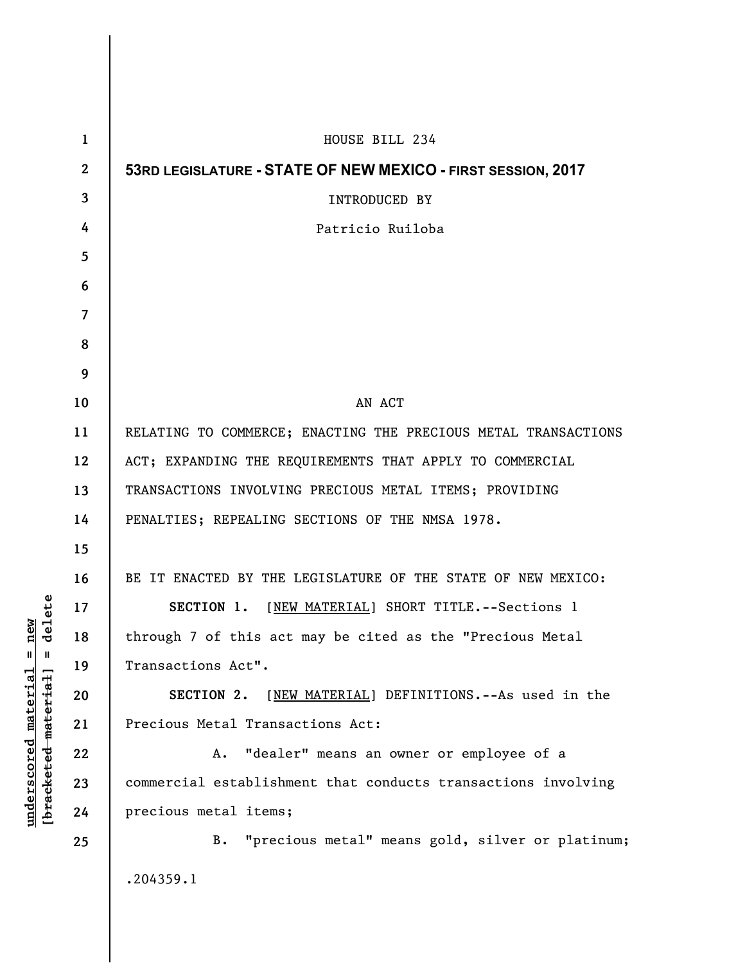| 1                       | HOUSE BILL 234                                                 |
|-------------------------|----------------------------------------------------------------|
| $\mathbf{2}$            | 53RD LEGISLATURE - STATE OF NEW MEXICO - FIRST SESSION, 2017   |
| $\overline{3}$          | <b>INTRODUCED BY</b>                                           |
| 4                       | Patricio Ruiloba                                               |
| 5                       |                                                                |
| 6                       |                                                                |
| $\overline{\mathbf{z}}$ |                                                                |
| 8                       |                                                                |
| 9                       |                                                                |
| 10                      | AN ACT                                                         |
| 11                      | RELATING TO COMMERCE; ENACTING THE PRECIOUS METAL TRANSACTIONS |
| 12                      | ACT; EXPANDING THE REQUIREMENTS THAT APPLY TO COMMERCIAL       |
| 13                      | TRANSACTIONS INVOLVING PRECIOUS METAL ITEMS; PROVIDING         |
| 14                      | PENALTIES; REPEALING SECTIONS OF THE NMSA 1978.                |
| 15                      |                                                                |
| 16                      | BE IT ENACTED BY THE LEGISLATURE OF THE STATE OF NEW MEXICO:   |
| 17                      | SECTION 1. [NEW MATERIAL] SHORT TITLE. -- Sections 1           |
| 18                      | through 7 of this act may be cited as the "Precious Metal      |
| 19                      | Transactions Act".                                             |
| 20                      | [NEW MATERIAL] DEFINITIONS. -- As used in the<br>SECTION 2.    |
| 21                      | Precious Metal Transactions Act:                               |
| 22                      | "dealer" means an owner or employee of a<br>Α.                 |
| 23                      | commercial establishment that conducts transactions involving  |
| 24                      | precious metal items;                                          |
| 25                      | "precious metal" means gold, silver or platinum;<br>B.         |
|                         | .204359.1                                                      |

**underscored material = new [bracketed material] = delete**

 $[**bracket eted metert et**] = **del et e**$  $underscored material = new$ 

 $\overline{\phantom{a}}$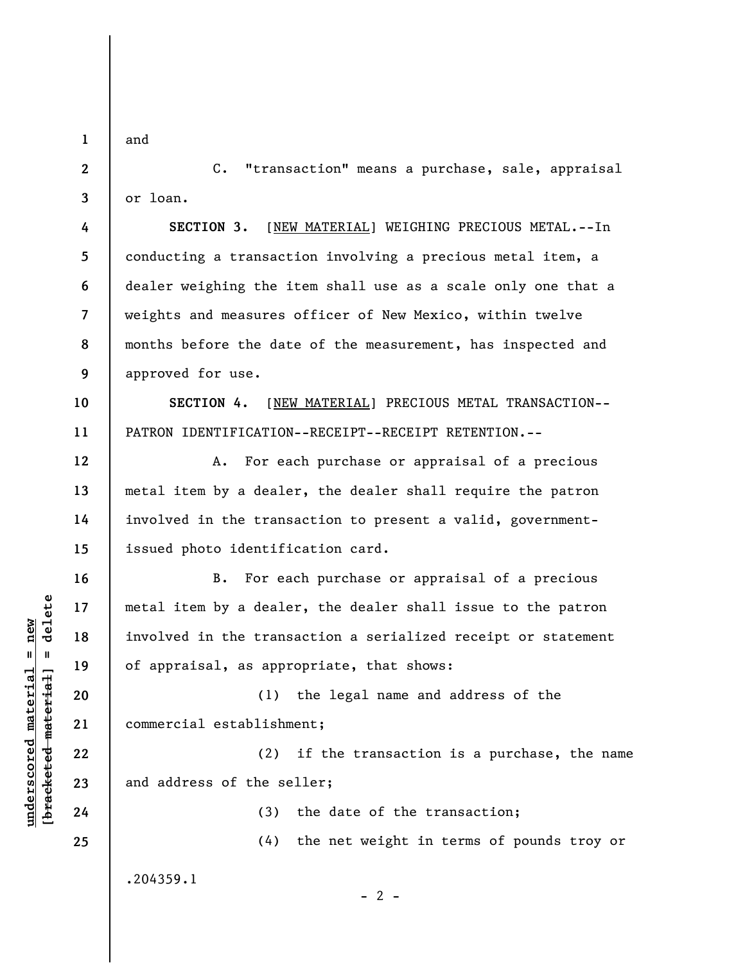**1** 

and

**2** 

**3** 

**4** 

**5** 

**6** 

**7** 

**8** 

**9** 

**12** 

**13** 

**14** 

**15** 

**16** 

**17** 

**18** 

**19** 

**20** 

**21** 

**22** 

**23** 

**24** 

**25** 

C. "transaction" means a purchase, sale, appraisal or loan.

**SECTION 3.** [NEW MATERIAL] WEIGHING PRECIOUS METAL.--In conducting a transaction involving a precious metal item, a dealer weighing the item shall use as a scale only one that a weights and measures officer of New Mexico, within twelve months before the date of the measurement, has inspected and approved for use.

**10 11 SECTION 4.** [NEW MATERIAL] PRECIOUS METAL TRANSACTION-- PATRON IDENTIFICATION--RECEIPT--RECEIPT RETENTION.--

A. For each purchase or appraisal of a precious metal item by a dealer, the dealer shall require the patron involved in the transaction to present a valid, governmentissued photo identification card.

B. For each purchase or appraisal of a precious metal item by a dealer, the dealer shall issue to the patron involved in the transaction a serialized receipt or statement of appraisal, as appropriate, that shows:

(1) the legal name and address of the commercial establishment;

(2) if the transaction is a purchase, the name and address of the seller;

(3) the date of the transaction;

(4) the net weight in terms of pounds troy or

.204359.1

 $\frac{1}{2}$  intereted material = delete **[bracketed material] = delete**  $underscored material = new$ **underscored material = new**

 $- 2 -$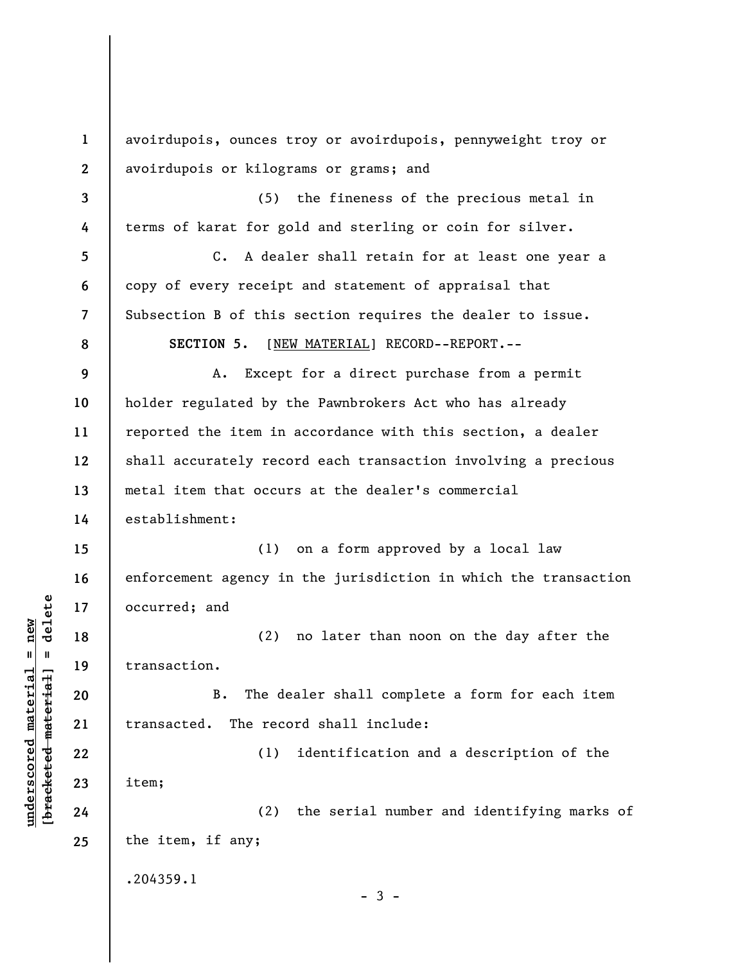**1 2 3 4 5 6 7 8 9 10 11 12 13 14 15 16 17 18 19 20 21 22 23 24 25**  avoirdupois, ounces troy or avoirdupois, pennyweight troy or avoirdupois or kilograms or grams; and (5) the fineness of the precious metal in terms of karat for gold and sterling or coin for silver. C. A dealer shall retain for at least one year a copy of every receipt and statement of appraisal that Subsection B of this section requires the dealer to issue. **SECTION 5.** [NEW MATERIAL] RECORD--REPORT.-- A. Except for a direct purchase from a permit holder regulated by the Pawnbrokers Act who has already reported the item in accordance with this section, a dealer shall accurately record each transaction involving a precious metal item that occurs at the dealer's commercial establishment: (1) on a form approved by a local law enforcement agency in the jurisdiction in which the transaction occurred; and (2) no later than noon on the day after the transaction. B. The dealer shall complete a form for each item transacted. The record shall include: (1) identification and a description of the item; (2) the serial number and identifying marks of the item, if any; .204359.1  $-3 -$ 

**underscored material = new [bracketed material] = delete**

 $\frac{1}{2}$  intereted material = delete  $underscored material = new$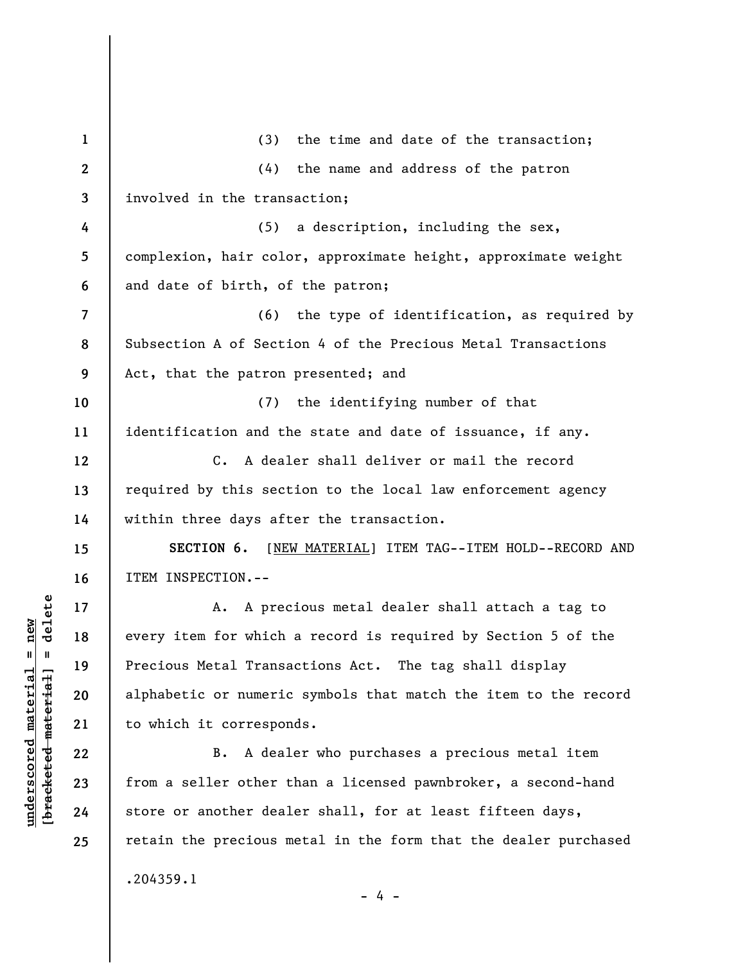| $\mathbf{1}$   | the time and date of the transaction;<br>(3)                    |
|----------------|-----------------------------------------------------------------|
| $\mathbf{2}$   | (4)<br>the name and address of the patron                       |
| 3              | involved in the transaction;                                    |
| 4              | (5)<br>a description, including the sex,                        |
| 5              | complexion, hair color, approximate height, approximate weight  |
| 6              | and date of birth, of the patron;                               |
| $\overline{7}$ | (6) the type of identification, as required by                  |
| 8              | Subsection A of Section 4 of the Precious Metal Transactions    |
| 9              | Act, that the patron presented; and                             |
| 10             | (7) the identifying number of that                              |
| 11             | identification and the state and date of issuance, if any.      |
| 12             | A dealer shall deliver or mail the record<br>$C_{\bullet}$      |
| 13             | required by this section to the local law enforcement agency    |
| 14             | within three days after the transaction.                        |
| 15             | SECTION 6.<br>[NEW MATERIAL] ITEM TAG--ITEM HOLD--RECORD AND    |
| 16             | ITEM INSPECTION.--                                              |
| 17             | A precious metal dealer shall attach a tag to<br>A.             |
| 18             | every item for which a record is required by Section 5 of the   |
| 19             | Precious Metal Transactions Act. The tag shall display          |
| 20             | alphabetic or numeric symbols that match the item to the record |
| 21             | to which it corresponds.                                        |
| 22             | A dealer who purchases a precious metal item<br>B.              |
| 23             | from a seller other than a licensed pawnbroker, a second-hand   |
| 24             | store or another dealer shall, for at least fifteen days,       |
| 25             | retain the precious metal in the form that the dealer purchased |
|                | .204359.1<br>- 4 -                                              |

 $[**bracket eted metert et**] = **del et e**$ **[bracketed material] = delete**  $underscored material = new$ **underscored material = new**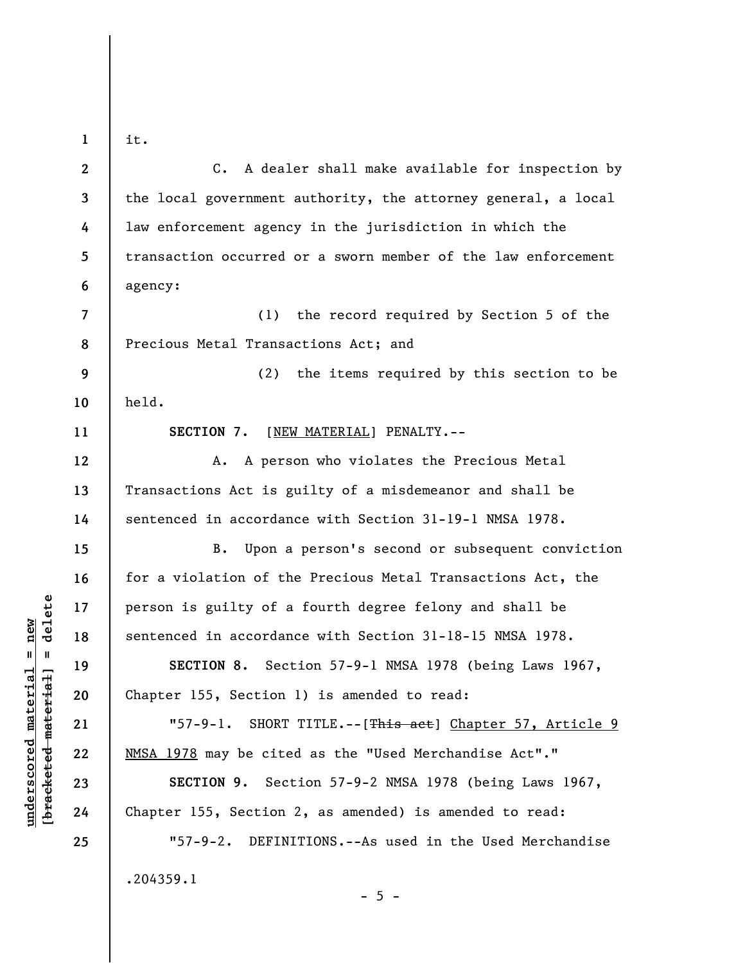**1** 

it.

**2 3 4 5 6 7 8 9 10 11 12 13 14 15 16 17 18 19 20 21 22 23 24 25**  C. A dealer shall make available for inspection by the local government authority, the attorney general, a local law enforcement agency in the jurisdiction in which the transaction occurred or a sworn member of the law enforcement agency: (1) the record required by Section 5 of the Precious Metal Transactions Act; and (2) the items required by this section to be held. **SECTION 7.** [NEW MATERIAL] PENALTY.-- A. A person who violates the Precious Metal Transactions Act is guilty of a misdemeanor and shall be sentenced in accordance with Section 31-19-1 NMSA 1978. B. Upon a person's second or subsequent conviction for a violation of the Precious Metal Transactions Act, the person is guilty of a fourth degree felony and shall be sentenced in accordance with Section 31-18-15 NMSA 1978. **SECTION 8.** Section 57-9-1 NMSA 1978 (being Laws 1967, Chapter 155, Section 1) is amended to read: "57-9-1. SHORT TITLE.--[This act] Chapter 57, Article 9 NMSA 1978 may be cited as the "Used Merchandise Act"." **SECTION 9.** Section 57-9-2 NMSA 1978 (being Laws 1967, Chapter 155, Section 2, as amended) is amended to read: "57-9-2. DEFINITIONS.--As used in the Used Merchandise .204359.1

 $\frac{1}{2}$  of  $\frac{1}{2}$  and  $\frac{1}{2}$  and  $\frac{1}{2}$  and  $\frac{1}{2}$  and  $\frac{1}{2}$  and  $\frac{1}{2}$  and  $\frac{1}{2}$  and  $\frac{1}{2}$  and  $\frac{1}{2}$  and  $\frac{1}{2}$  and  $\frac{1}{2}$  and  $\frac{1}{2}$  and  $\frac{1}{2}$  and  $\frac{1}{2}$  and  $\frac{1}{2}$  an **[bracketed material] = delete**  $underscored material = new$ **underscored material = new**

 $- 5 -$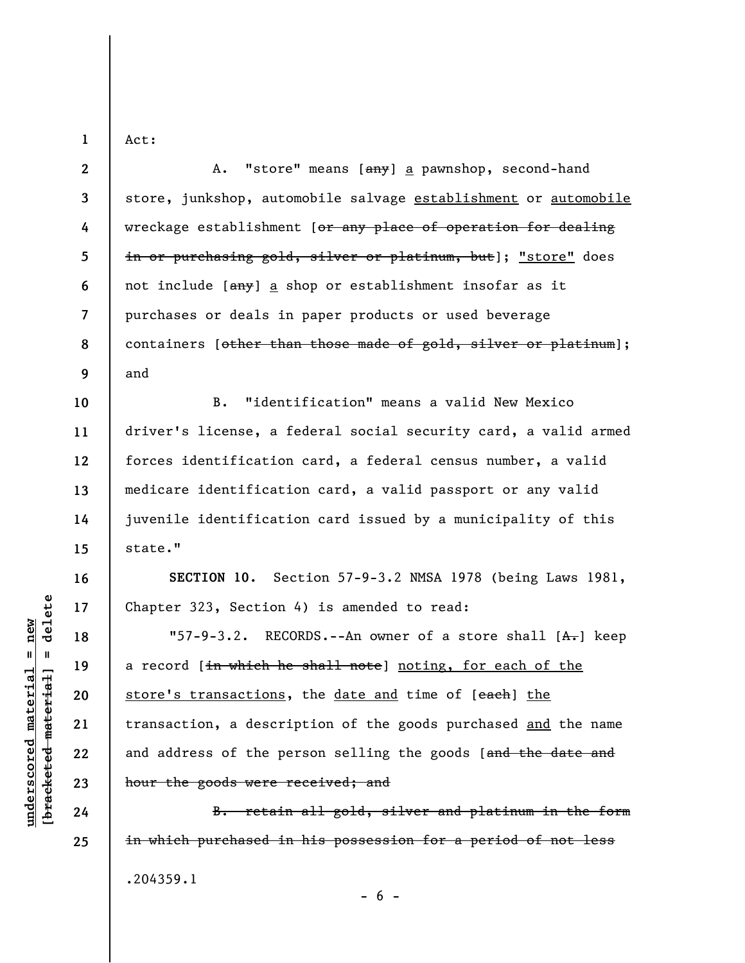Act:

**1** 

**2 3 4 5 6 7 8 9 10 11 12 13 14 15 16 17**  A. "store" means [any] a pawnshop, second-hand store, junkshop, automobile salvage establishment or automobile wreckage establishment [or any place of operation for dealing in or purchasing gold, silver or platinum, but]; "store" does not include [any] a shop or establishment insofar as it purchases or deals in paper products or used beverage containers [other than those made of gold, silver or platinum]; and B. "identification" means a valid New Mexico driver's license, a federal social security card, a valid armed forces identification card, a federal census number, a valid medicare identification card, a valid passport or any valid juvenile identification card issued by a municipality of this state." **SECTION 10.** Section 57-9-3.2 NMSA 1978 (being Laws 1981, Chapter 323, Section 4) is amended to read:

"57-9-3.2. RECORDS.--An owner of a store shall  $[A,-]$  keep a record [in which he shall note] noting, for each of the store's transactions, the date and time of [each] the transaction, a description of the goods purchased and the name and address of the person selling the goods [and the date and hour the goods were received; and

B. retain all gold, silver and platinum in the form in which purchased in his possession for a period of not less .204359.1  $- 6 -$ 

delete **[bracketed material] = delete**  $underscored material = new$ **underscored material = new**  $\mathbf{I}$ bracketed material

**18** 

**19** 

**20** 

**21** 

**22** 

**23** 

**24** 

**25**